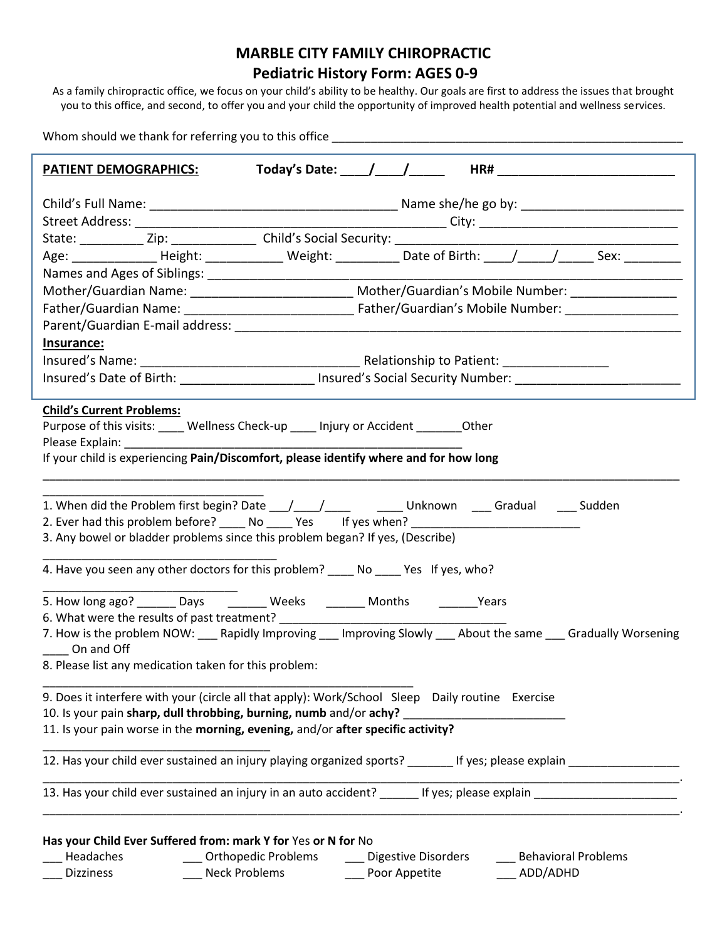## **MARBLE CITY FAMILY CHIROPRACTIC Pediatric History Form: AGES 0-9**

As a family chiropractic office, we focus on your child's ability to be healthy. Our goals are first to address the issues that brought you to this office, and second, to offer you and your child the opportunity of improved health potential and wellness services.

Whom should we thank for referring you to this office \_\_\_\_\_\_\_\_\_\_\_\_\_\_\_\_\_\_\_\_\_\_\_\_\_\_

| <b>PATIENT DEMOGRAPHICS:</b>                                                                                                                                                                                                                                                                                                                                                                                                                           |                     |                         |  |          |                        |
|--------------------------------------------------------------------------------------------------------------------------------------------------------------------------------------------------------------------------------------------------------------------------------------------------------------------------------------------------------------------------------------------------------------------------------------------------------|---------------------|-------------------------|--|----------|------------------------|
|                                                                                                                                                                                                                                                                                                                                                                                                                                                        |                     |                         |  |          |                        |
|                                                                                                                                                                                                                                                                                                                                                                                                                                                        |                     |                         |  |          |                        |
|                                                                                                                                                                                                                                                                                                                                                                                                                                                        |                     |                         |  |          |                        |
|                                                                                                                                                                                                                                                                                                                                                                                                                                                        |                     |                         |  |          |                        |
|                                                                                                                                                                                                                                                                                                                                                                                                                                                        |                     |                         |  |          |                        |
| Mother/Guardian Name: __________________________________ Mother/Guardian's Mobile Number: ____________________                                                                                                                                                                                                                                                                                                                                         |                     |                         |  |          |                        |
|                                                                                                                                                                                                                                                                                                                                                                                                                                                        |                     |                         |  |          |                        |
|                                                                                                                                                                                                                                                                                                                                                                                                                                                        |                     |                         |  |          |                        |
| Insurance:                                                                                                                                                                                                                                                                                                                                                                                                                                             |                     |                         |  |          |                        |
|                                                                                                                                                                                                                                                                                                                                                                                                                                                        |                     |                         |  |          |                        |
|                                                                                                                                                                                                                                                                                                                                                                                                                                                        |                     |                         |  |          |                        |
| <b>Child's Current Problems:</b><br>Purpose of this visits: _____ Wellness Check-up _____ Injury or Accident ________ Other<br>Please Explain: The contract of the contract of the contract of the contract of the contract of the contract of the contract of the contract of the contract of the contract of the contract of the contract of the contract o<br>If your child is experiencing Pain/Discomfort, please identify where and for how long |                     |                         |  |          |                        |
| 2. Ever had this problem before? _____ No _____ Yes lf yes when? __________________________________<br>3. Any bowel or bladder problems since this problem began? If yes, (Describe)<br>4. Have you seen any other doctors for this problem? No No Yes If yes, who?                                                                                                                                                                                    |                     |                         |  |          |                        |
| 5. How long ago? _______ Days ________ Weeks ________ Months ________ Years<br>7. How is the problem NOW: ___ Rapidly Improving ___ Improving Slowly ___ About the same ___ Gradually Worsening<br>On and Off<br>8. Please list any medication taken for this problem:                                                                                                                                                                                 |                     |                         |  |          |                        |
| 9. Does it interfere with your (circle all that apply): Work/School Sleep Daily routine Exercise<br>10. Is your pain sharp, dull throbbing, burning, numb and/or achy?<br>11. Is your pain worse in the morning, evening, and/or after specific activity?                                                                                                                                                                                              |                     |                         |  |          |                        |
| 12. Has your child ever sustained an injury playing organized sports? The Mary of the sexplain                                                                                                                                                                                                                                                                                                                                                         |                     |                         |  |          |                        |
| 13. Has your child ever sustained an injury in an auto accident? ______ If yes; please explain __________________                                                                                                                                                                                                                                                                                                                                      |                     |                         |  |          |                        |
| Has your Child Ever Suffered from: mark Y for Yes or N for No<br>Headaches<br><b>Dizziness</b>                                                                                                                                                                                                                                                                                                                                                         | Orthopedic Problems | ___ Digestive Disorders |  | ADD/ADHD | __ Behavioral Problems |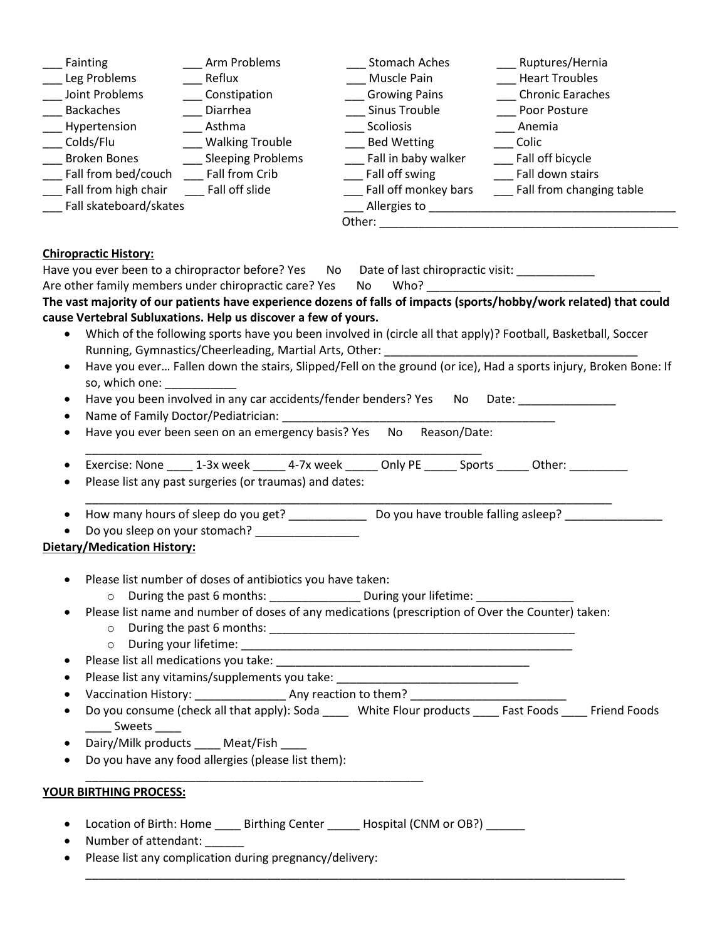| Fainting<br>Leg Problems<br>Joint Problems<br><b>Backaches</b><br>Hypertension<br>Colds/Flu<br>__ Broken Bones<br>Fall from bed/couch Fall from Crib<br>__ Fall from high chair<br>Fall skateboard/skates | Arm Problems<br>Reflux<br>___ Constipation<br>Diarrhea<br>Asthma<br>__ Walking Trouble<br>__ Sleeping Problems<br>Fall off slide           | Stomach Aches<br>Muscle Pain<br>__ Growing Pains<br>__ Sinus Trouble<br>Scoliosis<br>__ Bed Wetting<br>Fall in baby walker<br>Fall off swing<br>___ Fall off monkey bars                                                                                                                                                                                             | Ruptures/Hernia<br><b>Heart Troubles</b><br>Chronic Earaches<br>Poor Posture<br>Anemia<br>Colic<br>__ Fall off bicycle<br>Fall down stairs<br>Fall from changing table |
|-----------------------------------------------------------------------------------------------------------------------------------------------------------------------------------------------------------|--------------------------------------------------------------------------------------------------------------------------------------------|----------------------------------------------------------------------------------------------------------------------------------------------------------------------------------------------------------------------------------------------------------------------------------------------------------------------------------------------------------------------|------------------------------------------------------------------------------------------------------------------------------------------------------------------------|
| <b>Chiropractic History:</b>                                                                                                                                                                              |                                                                                                                                            |                                                                                                                                                                                                                                                                                                                                                                      |                                                                                                                                                                        |
|                                                                                                                                                                                                           |                                                                                                                                            | Have you ever been to a chiropractor before? Yes No Date of last chiropractic visit: ___________                                                                                                                                                                                                                                                                     |                                                                                                                                                                        |
|                                                                                                                                                                                                           |                                                                                                                                            | Are other family members under chiropractic care? Yes No Who?                                                                                                                                                                                                                                                                                                        |                                                                                                                                                                        |
|                                                                                                                                                                                                           |                                                                                                                                            |                                                                                                                                                                                                                                                                                                                                                                      | The vast majority of our patients have experience dozens of falls of impacts (sports/hobby/work related) that could                                                    |
| cause Vertebral Subluxations. Help us discover a few of yours.                                                                                                                                            |                                                                                                                                            |                                                                                                                                                                                                                                                                                                                                                                      |                                                                                                                                                                        |
| $\bullet$                                                                                                                                                                                                 |                                                                                                                                            |                                                                                                                                                                                                                                                                                                                                                                      | Which of the following sports have you been involved in (circle all that apply)? Football, Basketball, Soccer                                                          |
|                                                                                                                                                                                                           | Running, Gymnastics/Cheerleading, Martial Arts, Other:                                                                                     |                                                                                                                                                                                                                                                                                                                                                                      | <u> 1989 - Johann John Stone, markin film yn y breninnas yn y breninnas y breninnas y breninnas y breninnas y bre</u>                                                  |
| $\bullet$                                                                                                                                                                                                 |                                                                                                                                            |                                                                                                                                                                                                                                                                                                                                                                      | Have you ever Fallen down the stairs, Slipped/Fell on the ground (or ice), Had a sports injury, Broken Bone: If                                                        |
| so, which one:                                                                                                                                                                                            |                                                                                                                                            |                                                                                                                                                                                                                                                                                                                                                                      |                                                                                                                                                                        |
| ٠                                                                                                                                                                                                         | Have you been involved in any car accidents/fender benders? Yes<br>Name of Family Doctor/Pediatrician: Name of Family Doctor/Pediatrician: |                                                                                                                                                                                                                                                                                                                                                                      | No Date:                                                                                                                                                               |
| ٠<br>٠                                                                                                                                                                                                    |                                                                                                                                            | Have you ever been seen on an emergency basis? Yes No Reason/Date:                                                                                                                                                                                                                                                                                                   |                                                                                                                                                                        |
|                                                                                                                                                                                                           |                                                                                                                                            |                                                                                                                                                                                                                                                                                                                                                                      |                                                                                                                                                                        |
| ٠<br>$\bullet$<br>$\bullet$                                                                                                                                                                               | Please list any past surgeries (or traumas) and dates:                                                                                     | Exercise: None 1-3x week 1.1 4-7x week 1.1 Unity PE 1.1 Sports 2.1 Other:<br>How many hours of sleep do you get? _________________ Do you have trouble falling asleep? __________                                                                                                                                                                                    |                                                                                                                                                                        |
|                                                                                                                                                                                                           | Do you sleep on your stomach? _______________                                                                                              |                                                                                                                                                                                                                                                                                                                                                                      |                                                                                                                                                                        |
| Dietary/Medication History:                                                                                                                                                                               |                                                                                                                                            |                                                                                                                                                                                                                                                                                                                                                                      |                                                                                                                                                                        |
| $\bullet$<br>Sweets _____                                                                                                                                                                                 | Please list number of doses of antibiotics you have taken:<br>Dairy/Milk products _____ Meat/Fish __                                       | O During the past 6 months: ________________ During your lifetime: _____________<br>Please list name and number of doses of any medications (prescription of Over the Counter) taken:<br>Please list any vitamins/supplements you take: _________________________________<br>Vaccination History: ______________________ Any reaction to them? _____________________ | Do you consume (check all that apply): Soda _____ White Flour products _____ Fast Foods _____ Friend Foods                                                             |
| ٠                                                                                                                                                                                                         | Do you have any food allergies (please list them):                                                                                         |                                                                                                                                                                                                                                                                                                                                                                      |                                                                                                                                                                        |
| YOUR BIRTHING PROCESS:                                                                                                                                                                                    |                                                                                                                                            |                                                                                                                                                                                                                                                                                                                                                                      |                                                                                                                                                                        |
| ٠<br>Number of attendant:                                                                                                                                                                                 |                                                                                                                                            | Location of Birth: Home _____ Birthing Center ______ Hospital (CNM or OB?)                                                                                                                                                                                                                                                                                           |                                                                                                                                                                        |
|                                                                                                                                                                                                           | Please list any complication during pregnancy/delivery:                                                                                    |                                                                                                                                                                                                                                                                                                                                                                      |                                                                                                                                                                        |
|                                                                                                                                                                                                           |                                                                                                                                            |                                                                                                                                                                                                                                                                                                                                                                      |                                                                                                                                                                        |

\_\_\_\_\_\_\_\_\_\_\_\_\_\_\_\_\_\_\_\_\_\_\_\_\_\_\_\_\_\_\_\_\_\_\_\_\_\_\_\_\_\_\_\_\_\_\_\_\_\_\_\_\_\_\_\_\_\_\_\_\_\_\_\_\_\_\_\_\_\_\_\_\_\_\_\_\_\_\_\_\_\_\_